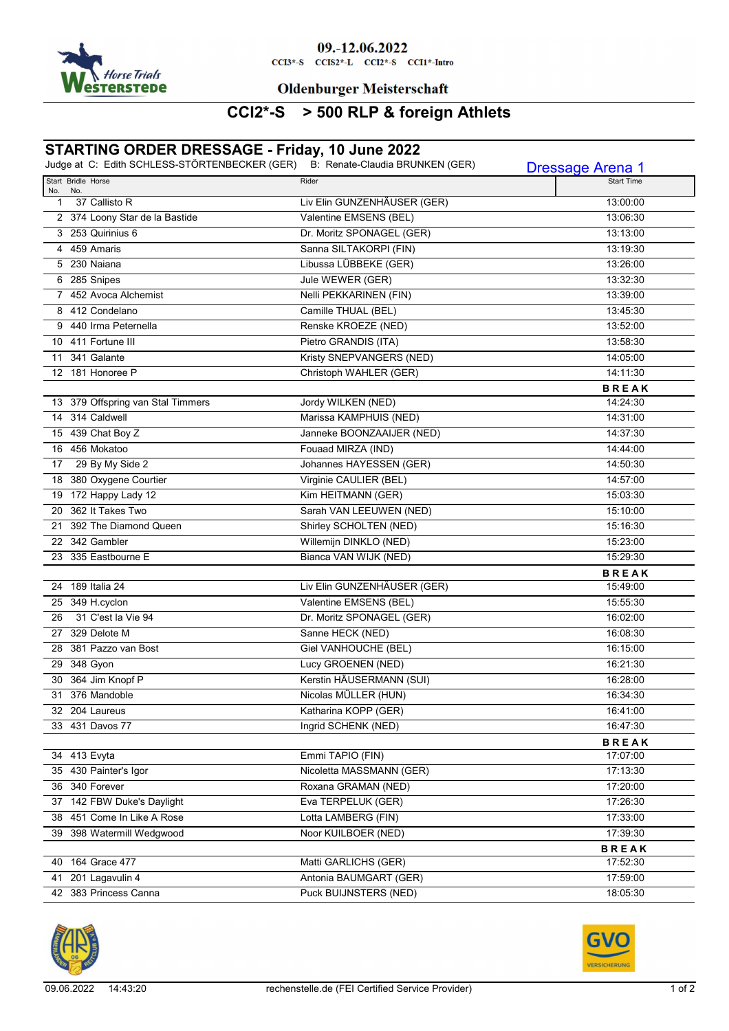

#### 09.-12.06.2022

 $CCI3*-S$   $CCI52*-L$   $CCI2*-S$   $CCI1*-Intro$ 

#### **Oldenburger Meisterschaft**

# **CCI2\*-S > 500 RLP & foreign Athlets**

## **STARTING ORDER DRESSAGE - Friday, 10 June 2022**

|     | Judge at C: Edith SCHLESS-STÖRTENBECKER (GER) B: Renate-Claudia BRUNKEN (GER) |                             | <b>Dressage Arena 1</b> |
|-----|-------------------------------------------------------------------------------|-----------------------------|-------------------------|
| No. | Start Bridle Horse<br>No.                                                     | Rider                       | <b>Start Time</b>       |
| 1   | 37 Callisto R                                                                 | Liv Elin GUNZENHÄUSER (GER) | 13:00:00                |
|     | 2 374 Loony Star de la Bastide                                                | Valentine EMSENS (BEL)      | 13:06:30                |
|     | 3 253 Quirinius 6                                                             | Dr. Moritz SPONAGEL (GER)   | 13:13:00                |
|     | 4 459 Amaris                                                                  | Sanna SILTAKORPI (FIN)      | 13:19:30                |
|     | 5 230 Naiana                                                                  | Libussa LÜBBEKE (GER)       | 13:26:00                |
|     | 6 285 Snipes                                                                  | Jule WEWER (GER)            | 13:32:30                |
|     | 7 452 Avoca Alchemist                                                         | Nelli PEKKARINEN (FIN)      | 13:39:00                |
|     | 8 412 Condelano                                                               | Camille THUAL (BEL)         | 13:45:30                |
|     | 9 440 Irma Peternella                                                         | Renske KROEZE (NED)         | 13:52:00                |
|     | 10 411 Fortune III                                                            | Pietro GRANDIS (ITA)        | 13:58:30                |
|     | 11 341 Galante                                                                | Kristy SNEPVANGERS (NED)    | 14:05:00                |
|     | 12 181 Honoree P                                                              | Christoph WAHLER (GER)      | 14:11:30                |
|     |                                                                               |                             | <b>BREAK</b>            |
|     | 13 379 Offspring van Stal Timmers                                             | Jordy WILKEN (NED)          | 14:24:30                |
|     | 14 314 Caldwell                                                               | Marissa KAMPHUIS (NED)      | 14:31:00                |
|     | 15 439 Chat Boy Z                                                             | Janneke BOONZAAIJER (NED)   | 14:37:30                |
|     | 16 456 Mokatoo                                                                | Fouaad MIRZA (IND)          | 14:44:00                |
| 17  | 29 By My Side 2                                                               | Johannes HAYESSEN (GER)     | 14:50:30                |
|     | 18 380 Oxygene Courtier                                                       | Virginie CAULIER (BEL)      | 14:57:00                |
|     | 19 172 Happy Lady 12                                                          | Kim HEITMANN (GER)          | 15:03:30                |
|     | 20 362 It Takes Two                                                           | Sarah VAN LEEUWEN (NED)     | 15:10:00                |
|     | 21 392 The Diamond Queen                                                      | Shirley SCHOLTEN (NED)      | 15:16:30                |
|     | 22 342 Gambler                                                                | Willemijn DINKLO (NED)      | 15:23:00                |
|     | 23 335 Eastbourne E                                                           | Bianca VAN WIJK (NED)       | 15:29:30                |
|     |                                                                               |                             | <b>BREAK</b>            |
|     | 24 189 Italia 24                                                              | Liv Elin GUNZENHÄUSER (GER) | 15:49:00                |
|     | 25 349 H.cyclon                                                               | Valentine EMSENS (BEL)      | 15:55:30                |
| 26  | 31 C'est la Vie 94                                                            | Dr. Moritz SPONAGEL (GER)   | 16:02:00                |
|     | 27 329 Delote M                                                               | Sanne HECK (NED)            | 16:08:30                |
|     | 28 381 Pazzo van Bost                                                         | Giel VANHOUCHE (BEL)        | 16:15:00                |
|     | 29 348 Gyon                                                                   | Lucy GROENEN (NED)          | 16:21:30                |
|     | 30 364 Jim Knopf P                                                            | Kerstin HÄUSERMANN (SUI)    | 16:28:00                |
|     | 31 376 Mandoble                                                               | Nicolas MÜLLER (HUN)        | 16:34:30                |
|     | 32 204 Laureus                                                                | Katharina KOPP (GER)        | 16:41:00                |
|     | 33 431 Davos 77                                                               | Ingrid SCHENK (NED)         | 16:47:30                |
|     |                                                                               |                             | <b>BREAK</b>            |
|     | 34 413 Evyta                                                                  | Emmi TAPIO (FIN)            | 17:07:00                |
|     | 35 430 Painter's Igor                                                         | Nicoletta MASSMANN (GER)    | 17:13:30                |
|     | 36 340 Forever                                                                | Roxana GRAMAN (NED)         | 17:20:00                |
|     | 37 142 FBW Duke's Daylight                                                    | Eva TERPELUK (GER)          | 17:26:30                |
|     | 38 451 Come In Like A Rose                                                    | Lotta LAMBERG (FIN)         | 17:33:00                |
|     | 39 398 Watermill Wedgwood                                                     | Noor KUILBOER (NED)         | 17:39:30                |
|     |                                                                               |                             | <b>BREAK</b>            |
|     | 40 164 Grace 477                                                              | Matti GARLICHS (GER)        | 17:52:30                |
|     | 41 201 Lagavulin 4                                                            | Antonia BAUMGART (GER)      | 17:59:00                |
|     | 42 383 Princess Canna                                                         | Puck BUIJNSTERS (NED)       | 18:05:30                |